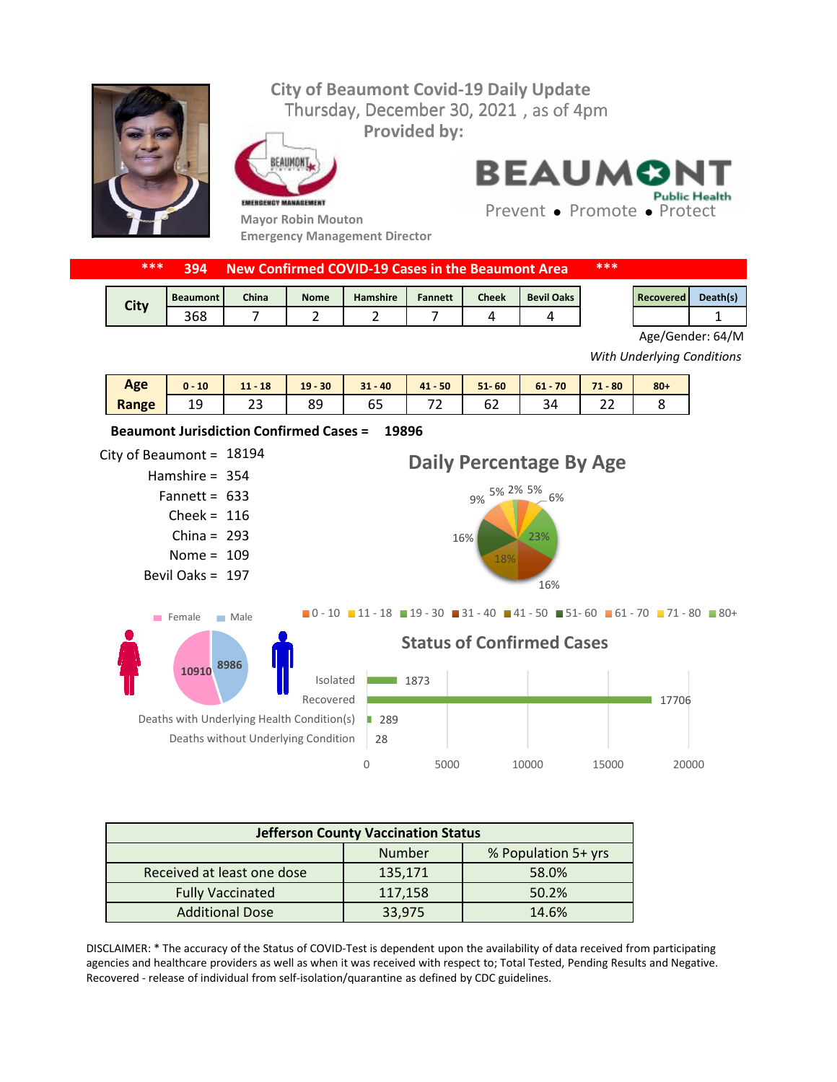## Thursday, December 30, 2021, as of 4pm **City of Beaumont Covid-19 Daily Update Provided by:**



EAUMONT EMERGENCY MANAGEMENT

**Mayor Robin Mouton Emergency Management Director** **BEAUMON Public Health** 

Prevent • Promote • Protect

| *** |  | <b>394 New Confirmed COVID-19 Cases in the Beaumont Area</b> | *** |
|-----|--|--------------------------------------------------------------|-----|
|-----|--|--------------------------------------------------------------|-----|

| <b>City</b> | <b>Beaumont</b> | China | <b>Nome</b> | <b>Hamshire</b> | <b>Fannett</b> | Cheek | <b>Bevil Oaks</b> | Recovered | Death(s) |
|-------------|-----------------|-------|-------------|-----------------|----------------|-------|-------------------|-----------|----------|
|             | 368             |       |             |                 |                |       |                   |           |          |

Age/Gender: 64/M

*With Underlying Conditions*

| Age   | 10<br>$\mathbf{0}$ - | 18<br>11 | $-30$<br>19 | $31 - 40$ | $41 - 50$    | $51 - 60$    | 70<br>$61 -$ | $-80$<br>74 | $80 +$ |
|-------|----------------------|----------|-------------|-----------|--------------|--------------|--------------|-------------|--------|
| Range | ر⊥                   | ້        | o٥<br>ᇰ     | . .<br>oΞ | --<br>$\sim$ | $\sim$<br>◡∠ | ∼            | <u></u>     |        |



| <b>Jefferson County Vaccination Status</b> |         |                     |  |  |  |  |
|--------------------------------------------|---------|---------------------|--|--|--|--|
|                                            | Number  | % Population 5+ yrs |  |  |  |  |
| Received at least one dose                 | 135,171 | 58.0%               |  |  |  |  |
| <b>Fully Vaccinated</b>                    | 117,158 | 50.2%               |  |  |  |  |
| <b>Additional Dose</b>                     | 33,975  | 14.6%               |  |  |  |  |

DISCLAIMER: \* The accuracy of the Status of COVID-Test is dependent upon the availability of data received from participating agencies and healthcare providers as well as when it was received with respect to; Total Tested, Pending Results and Negative. Recovered - release of individual from self-isolation/quarantine as defined by CDC guidelines.